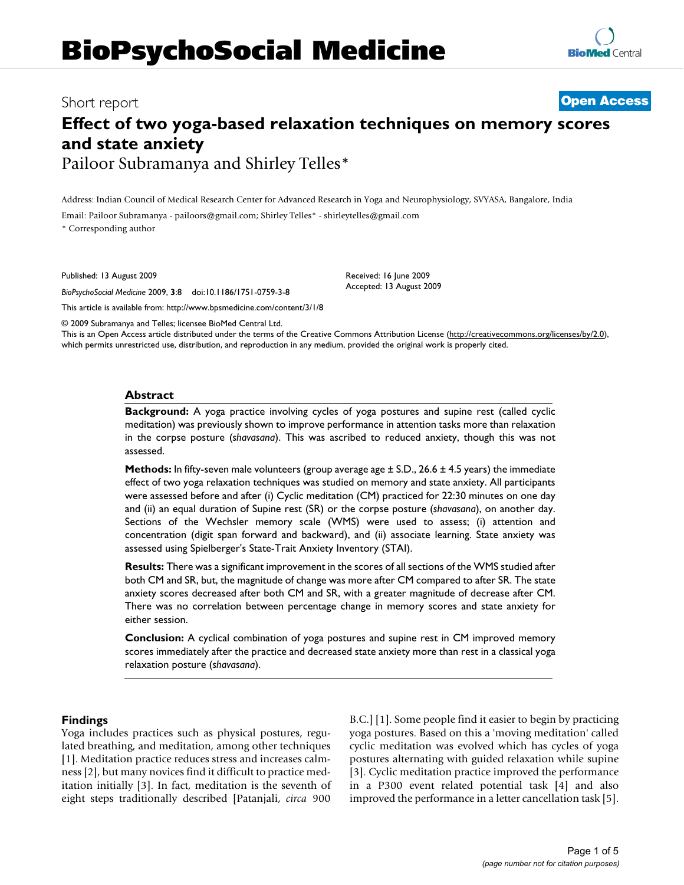# **BioPsychoSocial Medicine**

**[Open Access](http://www.biomedcentral.com/info/about/charter/)**

# Short report

# **Effect of two yoga-based relaxation techniques on memory scores and state anxiety** Pailoor Subramanya and Shirley Telles\*

Address: Indian Council of Medical Research Center for Advanced Research in Yoga and Neurophysiology, SVYASA, Bangalore, India

Email: Pailoor Subramanya - pailoors@gmail.com; Shirley Telles\* - shirleytelles@gmail.com

\* Corresponding author

Published: 13 August 2009

*BioPsychoSocial Medicine* 2009, **3**:8 doi:10.1186/1751-0759-3-8

[This article is available from: http://www.bpsmedicine.com/content/3/1/8](http://www.bpsmedicine.com/content/3/1/8)

© 2009 Subramanya and Telles; licensee BioMed Central Ltd.

This is an Open Access article distributed under the terms of the Creative Commons Attribution License [\(http://creativecommons.org/licenses/by/2.0\)](http://creativecommons.org/licenses/by/2.0), which permits unrestricted use, distribution, and reproduction in any medium, provided the original work is properly cited.

Received: 16 June 2009 Accepted: 13 August 2009

# **Abstract**

**Background:** A yoga practice involving cycles of yoga postures and supine rest (called cyclic meditation) was previously shown to improve performance in attention tasks more than relaxation in the corpse posture (*shavasana*). This was ascribed to reduced anxiety, though this was not assessed.

**Methods:** In fifty-seven male volunteers (group average age  $\pm$  S.D., 26.6  $\pm$  4.5 years) the immediate effect of two yoga relaxation techniques was studied on memory and state anxiety. All participants were assessed before and after (i) Cyclic meditation (CM) practiced for 22:30 minutes on one day and (ii) an equal duration of Supine rest (SR) or the corpse posture (*shavasana*), on another day. Sections of the Wechsler memory scale (WMS) were used to assess; (i) attention and concentration (digit span forward and backward), and (ii) associate learning. State anxiety was assessed using Spielberger's State-Trait Anxiety Inventory (STAI).

**Results:** There was a significant improvement in the scores of all sections of the WMS studied after both CM and SR, but, the magnitude of change was more after CM compared to after SR. The state anxiety scores decreased after both CM and SR, with a greater magnitude of decrease after CM. There was no correlation between percentage change in memory scores and state anxiety for either session.

**Conclusion:** A cyclical combination of yoga postures and supine rest in CM improved memory scores immediately after the practice and decreased state anxiety more than rest in a classical yoga relaxation posture (*shavasana*).

# **Findings**

Yoga includes practices such as physical postures, regulated breathing, and meditation, among other techniques [[1\]](#page-3-0). Meditation practice reduces stress and increases calmness [\[2\]](#page-3-1), but many novices find it difficult to practice meditation initially [\[3\]](#page-3-2). In fact, meditation is the seventh of eight steps traditionally described [Patanjali, *circa* 900

B.C.] [[1](#page-3-0)]. Some people find it easier to begin by practicing yoga postures. Based on this a 'moving meditation' called cyclic meditation was evolved which has cycles of yoga postures alternating with guided relaxation while supine [[3\]](#page-3-2). Cyclic meditation practice improved the performance in a P300 event related potential task [\[4](#page-3-3)] and also improved the performance in a letter cancellation task [[5](#page-3-4)].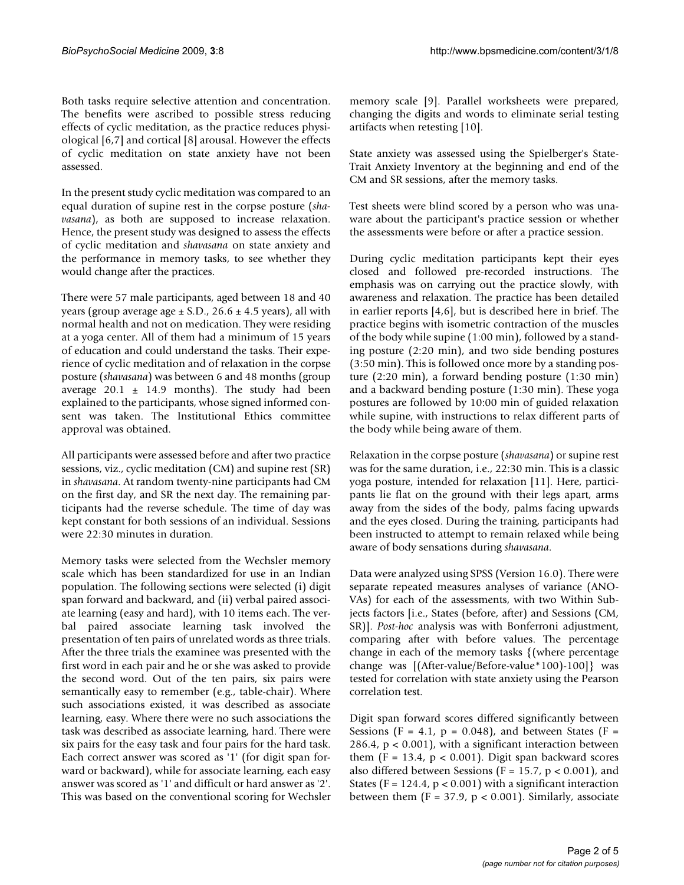Both tasks require selective attention and concentration. The benefits were ascribed to possible stress reducing effects of cyclic meditation, as the practice reduces physiological [\[6,](#page-3-5)[7](#page-3-6)] and cortical [[8](#page-3-7)] arousal. However the effects of cyclic meditation on state anxiety have not been assessed.

In the present study cyclic meditation was compared to an equal duration of supine rest in the corpse posture (*shavasana*), as both are supposed to increase relaxation. Hence, the present study was designed to assess the effects of cyclic meditation and *shavasana* on state anxiety and the performance in memory tasks, to see whether they would change after the practices.

There were 57 male participants, aged between 18 and 40 years (group average age  $\pm$  S.D., 26.6  $\pm$  4.5 years), all with normal health and not on medication. They were residing at a yoga center. All of them had a minimum of 15 years of education and could understand the tasks. Their experience of cyclic meditation and of relaxation in the corpse posture (*shavasana*) was between 6 and 48 months (group average  $20.1 \pm 14.9$  months). The study had been explained to the participants, whose signed informed consent was taken. The Institutional Ethics committee approval was obtained.

All participants were assessed before and after two practice sessions, viz., cyclic meditation (CM) and supine rest (SR) in *shavasana*. At random twenty-nine participants had CM on the first day, and SR the next day. The remaining participants had the reverse schedule. The time of day was kept constant for both sessions of an individual. Sessions were 22:30 minutes in duration.

Memory tasks were selected from the Wechsler memory scale which has been standardized for use in an Indian population. The following sections were selected (i) digit span forward and backward, and (ii) verbal paired associate learning (easy and hard), with 10 items each. The verbal paired associate learning task involved the presentation of ten pairs of unrelated words as three trials. After the three trials the examinee was presented with the first word in each pair and he or she was asked to provide the second word. Out of the ten pairs, six pairs were semantically easy to remember (e.g., table-chair). Where such associations existed, it was described as associate learning, easy. Where there were no such associations the task was described as associate learning, hard. There were six pairs for the easy task and four pairs for the hard task. Each correct answer was scored as '1' (for digit span forward or backward), while for associate learning, each easy answer was scored as '1' and difficult or hard answer as '2'. This was based on the conventional scoring for Wechsler memory scale [[9](#page-3-8)]. Parallel worksheets were prepared, changing the digits and words to eliminate serial testing artifacts when retesting [[10\]](#page-4-0).

State anxiety was assessed using the Spielberger's State-Trait Anxiety Inventory at the beginning and end of the CM and SR sessions, after the memory tasks.

Test sheets were blind scored by a person who was unaware about the participant's practice session or whether the assessments were before or after a practice session.

During cyclic meditation participants kept their eyes closed and followed pre-recorded instructions. The emphasis was on carrying out the practice slowly, with awareness and relaxation. The practice has been detailed in earlier reports [\[4](#page-3-3)[,6\]](#page-3-5), but is described here in brief. The practice begins with isometric contraction of the muscles of the body while supine (1:00 min), followed by a standing posture (2:20 min), and two side bending postures (3:50 min). This is followed once more by a standing posture (2:20 min), a forward bending posture (1:30 min) and a backward bending posture (1:30 min). These yoga postures are followed by 10:00 min of guided relaxation while supine, with instructions to relax different parts of the body while being aware of them.

Relaxation in the corpse posture (*shavasana*) or supine rest was for the same duration, i.e., 22:30 min. This is a classic yoga posture, intended for relaxation [\[11](#page-4-1)]. Here, participants lie flat on the ground with their legs apart, arms away from the sides of the body, palms facing upwards and the eyes closed. During the training, participants had been instructed to attempt to remain relaxed while being aware of body sensations during *shavasana*.

Data were analyzed using SPSS (Version 16.0). There were separate repeated measures analyses of variance (ANO-VAs) for each of the assessments, with two Within Subjects factors [i.e., States (before, after) and Sessions (CM, SR)]. *Post-hoc* analysis was with Bonferroni adjustment, comparing after with before values. The percentage change in each of the memory tasks {(where percentage change was [(After-value/Before-value\*100)-100]} was tested for correlation with state anxiety using the Pearson correlation test.

Digit span forward scores differed significantly between Sessions (F = 4.1,  $p = 0.048$ ), and between States (F = 286.4,  $p < 0.001$ , with a significant interaction between them (F = 13.4,  $p < 0.001$ ). Digit span backward scores also differed between Sessions ( $F = 15.7$ ,  $p < 0.001$ ), and States ( $F = 124.4$ ,  $p < 0.001$ ) with a significant interaction between them (F =  $37.9$ , p < 0.001). Similarly, associate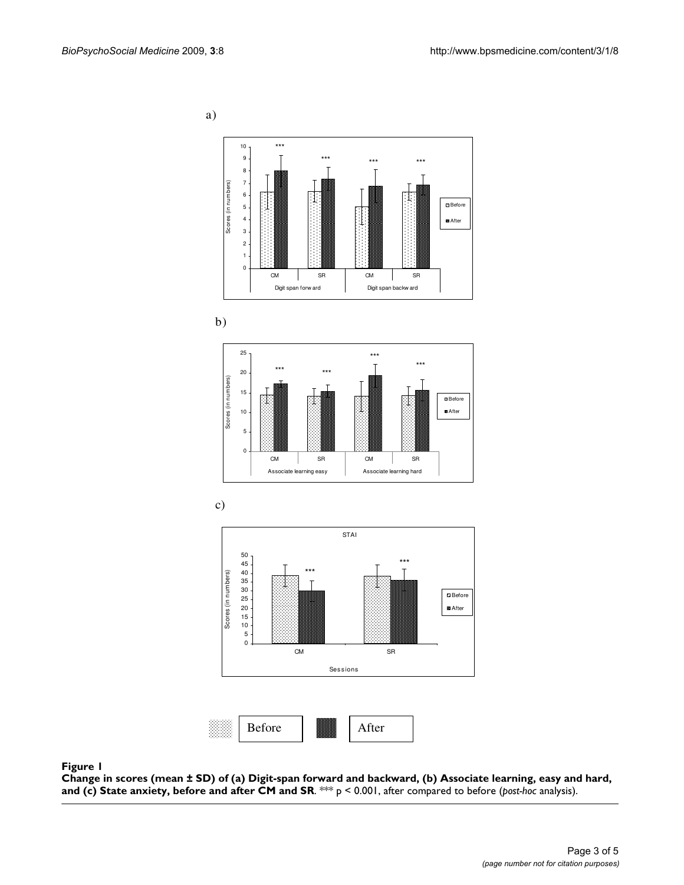<span id="page-2-0"></span>a)













#### Change in scores (mean ± SD) of (a) Digi iety, before and **Figure 1** after CM and SR t-span forward and backward, (b) Associate learning, easy and hard, and (c) State anx-

**Change in scores (mean ± SD) of (a) Digit-span forward and backward, (b) Associate learning, easy and hard, and (c) State anxiety, before and after CM and SR**. \*\*\* p < 0.001, after compared to before (*post-hoc* analysis).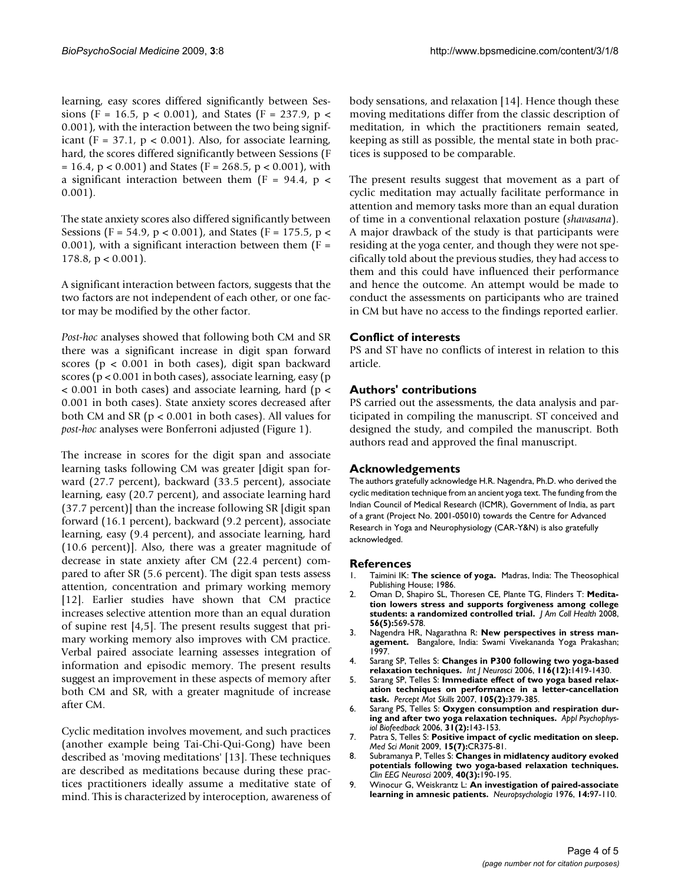learning, easy scores differed significantly between Sessions (F = 16.5, p < 0.001), and States (F = 237.9, p < 0.001), with the interaction between the two being significant (F = 37.1,  $p < 0.001$ ). Also, for associate learning, hard, the scores differed significantly between Sessions (F  $= 16.4$ , p < 0.001) and States (F = 268.5, p < 0.001), with a significant interaction between them ( $F = 94.4$ ,  $p <$ 0.001).

The state anxiety scores also differed significantly between Sessions (F = 54.9, p < 0.001), and States (F = 175.5, p < 0.001), with a significant interaction between them  $(F =$  $178.8$ ,  $p < 0.001$ ).

A significant interaction between factors, suggests that the two factors are not independent of each other, or one factor may be modified by the other factor.

*Post-hoc* analyses showed that following both CM and SR there was a significant increase in digit span forward scores (p < 0.001 in both cases), digit span backward scores (p < 0.001 in both cases), associate learning, easy (p  $<$  0.001 in both cases) and associate learning, hard (p  $<$ 0.001 in both cases). State anxiety scores decreased after both CM and SR (p < 0.001 in both cases). All values for *post-hoc* analyses were Bonferroni adjusted (Figure [1\)](#page-2-0).

The increase in scores for the digit span and associate learning tasks following CM was greater [digit span forward (27.7 percent), backward (33.5 percent), associate learning, easy (20.7 percent), and associate learning hard (37.7 percent)] than the increase following SR [digit span forward (16.1 percent), backward (9.2 percent), associate learning, easy (9.4 percent), and associate learning, hard (10.6 percent)]. Also, there was a greater magnitude of decrease in state anxiety after CM (22.4 percent) compared to after SR (5.6 percent). The digit span tests assess attention, concentration and primary working memory [[12](#page-4-2)]. Earlier studies have shown that CM practice increases selective attention more than an equal duration of supine rest [[4](#page-3-3),[5](#page-3-4)]. The present results suggest that primary working memory also improves with CM practice. Verbal paired associate learning assesses integration of information and episodic memory. The present results suggest an improvement in these aspects of memory after both CM and SR, with a greater magnitude of increase after CM.

Cyclic meditation involves movement, and such practices (another example being Tai-Chi-Qui-Gong) have been described as 'moving meditations' [[13](#page-4-3)]. These techniques are described as meditations because during these practices practitioners ideally assume a meditative state of mind. This is characterized by interoception, awareness of body sensations, and relaxation [\[14](#page-4-4)]. Hence though these moving meditations differ from the classic description of meditation, in which the practitioners remain seated, keeping as still as possible, the mental state in both practices is supposed to be comparable.

The present results suggest that movement as a part of cyclic meditation may actually facilitate performance in attention and memory tasks more than an equal duration of time in a conventional relaxation posture (*shavasana*). A major drawback of the study is that participants were residing at the yoga center, and though they were not specifically told about the previous studies, they had access to them and this could have influenced their performance and hence the outcome. An attempt would be made to conduct the assessments on participants who are trained in CM but have no access to the findings reported earlier.

# **Conflict of interests**

PS and ST have no conflicts of interest in relation to this article.

# **Authors' contributions**

PS carried out the assessments, the data analysis and participated in compiling the manuscript. ST conceived and designed the study, and compiled the manuscript. Both authors read and approved the final manuscript.

# **Acknowledgements**

The authors gratefully acknowledge H.R. Nagendra, Ph.D. who derived the cyclic meditation technique from an ancient yoga text. The funding from the Indian Council of Medical Research (ICMR), Government of India, as part of a grant (Project No. 2001-05010) towards the Centre for Advanced Research in Yoga and Neurophysiology (CAR-Y&N) is also gratefully acknowledged.

# **References**

- <span id="page-3-0"></span>1. Taimini IK: **The science of yoga.** Madras, India: The Theosophical Publishing House; 1986
- <span id="page-3-1"></span>2. Oman D, Shapiro SL, Thoresen CE, Plante TG, Flinders T: **[Medita](http://www.ncbi.nlm.nih.gov/entrez/query.fcgi?cmd=Retrieve&db=PubMed&dopt=Abstract&list_uids=18400671)[tion lowers stress and supports forgiveness among college](http://www.ncbi.nlm.nih.gov/entrez/query.fcgi?cmd=Retrieve&db=PubMed&dopt=Abstract&list_uids=18400671) [students: a randomized controlled trial.](http://www.ncbi.nlm.nih.gov/entrez/query.fcgi?cmd=Retrieve&db=PubMed&dopt=Abstract&list_uids=18400671)** *J Am Coll Health* 2008, **56(5):**569-578.
- <span id="page-3-2"></span>3. Nagendra HR, Nagarathna R: **New perspectives in stress management.** Bangalore, India: Swami Vivekananda Yoga Prakashan; 1997.
- <span id="page-3-3"></span>4. Sarang SP, Telles S: **[Changes in P300 following two yoga-based](http://www.ncbi.nlm.nih.gov/entrez/query.fcgi?cmd=Retrieve&db=PubMed&dopt=Abstract&list_uids=17145677) [relaxation techniques.](http://www.ncbi.nlm.nih.gov/entrez/query.fcgi?cmd=Retrieve&db=PubMed&dopt=Abstract&list_uids=17145677)** *Int J Neurosci* 2006, **116(12):**1419-1430.
- <span id="page-3-4"></span>5. Sarang SP, Telles S: **[Immediate effect of two yoga based relax](http://www.ncbi.nlm.nih.gov/entrez/query.fcgi?cmd=Retrieve&db=PubMed&dopt=Abstract&list_uids=18065059)[ation techniques on performance in a letter-cancellation](http://www.ncbi.nlm.nih.gov/entrez/query.fcgi?cmd=Retrieve&db=PubMed&dopt=Abstract&list_uids=18065059) [task.](http://www.ncbi.nlm.nih.gov/entrez/query.fcgi?cmd=Retrieve&db=PubMed&dopt=Abstract&list_uids=18065059)** *Percept Mot Skills* 2007, **105(2):**379-385.
- <span id="page-3-5"></span>6. Sarang PS, Telles S: **[Oxygen consumption and respiration dur](http://www.ncbi.nlm.nih.gov/entrez/query.fcgi?cmd=Retrieve&db=PubMed&dopt=Abstract&list_uids=16838123)[ing and after two yoga relaxation techniques.](http://www.ncbi.nlm.nih.gov/entrez/query.fcgi?cmd=Retrieve&db=PubMed&dopt=Abstract&list_uids=16838123)** *Appl Psychophysiol Biofeedback* 2006, **31(2):**143-153.
- <span id="page-3-6"></span>7. Patra S, Telles S: **[Positive impact of cyclic meditation on sleep.](http://www.ncbi.nlm.nih.gov/entrez/query.fcgi?cmd=Retrieve&db=PubMed&dopt=Abstract&list_uids=19564829)** *Med Sci Monit* 2009, **15(7):**CR375-81.
- <span id="page-3-7"></span>8. Subramanya P, Telles S: **Changes in midlatency auditory evoked potentials following two yoga-based relaxation techniques.** *Clin EEG Neurosci* 2009, **40(3):**190-195.
- <span id="page-3-8"></span>9. Winocur G, Weiskrantz L: **[An investigation of paired-associate](http://www.ncbi.nlm.nih.gov/entrez/query.fcgi?cmd=Retrieve&db=PubMed&dopt=Abstract&list_uids=1272517) [learning in amnesic patients.](http://www.ncbi.nlm.nih.gov/entrez/query.fcgi?cmd=Retrieve&db=PubMed&dopt=Abstract&list_uids=1272517)** *Neuropsychologia* 1976, **14:**97-110.